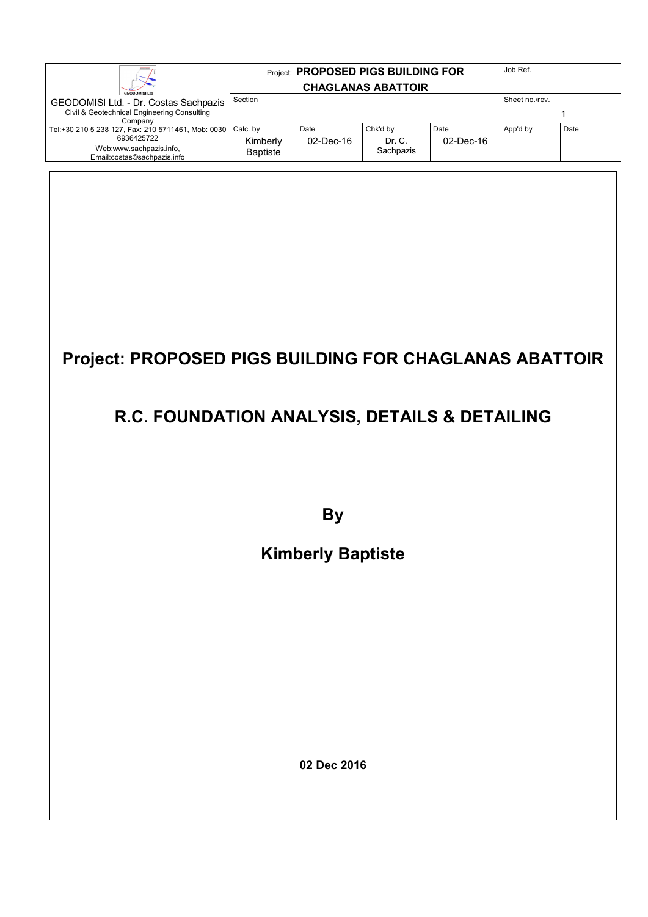|                                                                                                                            |                                         |                      | Project: PROPOSED PIGS BUILDING FOR |                      | Job Ref.       |      |
|----------------------------------------------------------------------------------------------------------------------------|-----------------------------------------|----------------------|-------------------------------------|----------------------|----------------|------|
| <b>GEODOMISI Ltd</b>                                                                                                       |                                         |                      | <b>CHAGLANAS ABATTOIR</b>           |                      |                |      |
| GEODOMISI Ltd. - Dr. Costas Sachpazis                                                                                      | Section                                 |                      |                                     |                      | Sheet no./rev. |      |
| Civil & Geotechnical Engineering Consulting<br>Company                                                                     |                                         |                      |                                     |                      |                |      |
| Tel:+30 210 5 238 127, Fax: 210 5711461, Mob: 0030<br>6936425722<br>Web:www.sachpazis.info,<br>Email:costas©sachpazis.info | Calc. by<br>Kimberly<br><b>Baptiste</b> | Date<br>$02$ -Dec-16 | Chk'd by<br>Dr. C.<br>Sachpazis     | Date<br>$02$ -Dec-16 | App'd by       | Date |

# **Project: PROPOSED PIGS BUILDING FOR CHAGLANAS ABATTOIR**

### **R.C. FOUNDATION ANALYSIS, DETAILS & DETAILING**

**By** 

## **Kimberly Baptiste**

**02 Dec 2016**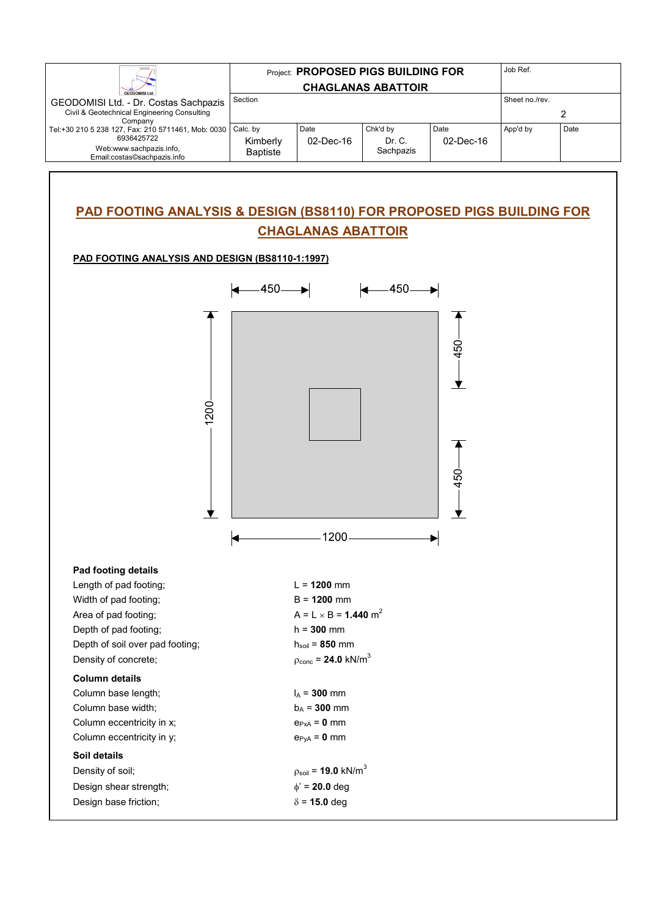|                                                                  |                      |                   | <b>Project: PROPOSED PIGS BUILDING FOR</b> |                      | Job Ref.       |      |
|------------------------------------------------------------------|----------------------|-------------------|--------------------------------------------|----------------------|----------------|------|
| <b>GEODOMISI Ltd</b>                                             |                      |                   | <b>CHAGLANAS ABATTOIR</b>                  |                      |                |      |
| GEODOMISI Ltd. - Dr. Costas Sachpazis                            | Section              |                   |                                            |                      | Sheet no./rev. |      |
| Civil & Geotechnical Engineering Consulting<br>Company           |                      |                   |                                            |                      |                |      |
| Tel:+30 210 5 238 127, Fax: 210 5711461, Mob: 0030<br>6936425722 | Calc. by<br>Kimberly | Date<br>02-Dec-16 | Chk'd by<br>Dr. C.                         | Date<br>$02$ -Dec-16 | App'd by       | Date |
| Web:www.sachpazis.info,<br>Email:costas©sachpazis.info           | <b>Baptiste</b>      |                   | Sachpazis                                  |                      |                |      |

#### **PAD FOOTING ANALYSIS & DESIGN (BS8110) FOR PROPOSED PIGS BUILDING FOR CHAGLANAS ABATTOIR**

#### **PAD FOOTING ANALYSIS AND DESIGN (BS8110-1:1997)**

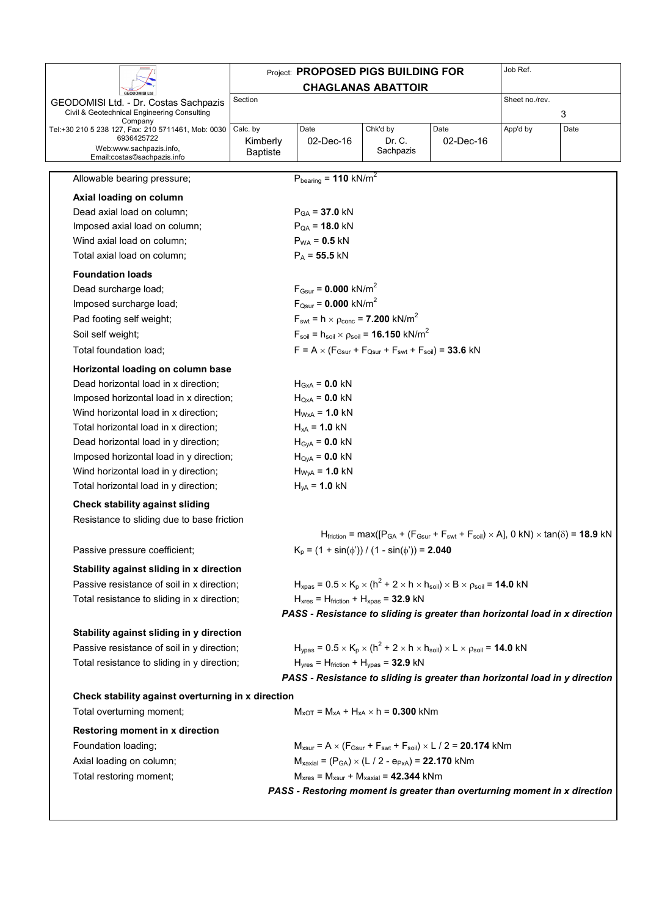|                                                                                           |                 | Project: PROPOSED PIGS BUILDING FOR                                                   |                           |                                                                                                                                                                  | Job Ref.       |      |
|-------------------------------------------------------------------------------------------|-----------------|---------------------------------------------------------------------------------------|---------------------------|------------------------------------------------------------------------------------------------------------------------------------------------------------------|----------------|------|
|                                                                                           |                 |                                                                                       | <b>CHAGLANAS ABATTOIR</b> |                                                                                                                                                                  |                |      |
| GEODOMISI Ltd. - Dr. Costas Sachpazis<br>Civil & Geotechnical Engineering Consulting      | Section         |                                                                                       |                           |                                                                                                                                                                  | Sheet no./rev. | 3    |
| Company<br>Tel:+30 210 5 238 127, Fax: 210 5711461, Mob: 0030                             | Calc. by        | Date                                                                                  | Chk'd by                  | Date                                                                                                                                                             | App'd by       | Date |
| 6936425722<br>Web:www.sachpazis.info,                                                     | Kimberly        | 02-Dec-16                                                                             | Dr. C.                    | 02-Dec-16                                                                                                                                                        |                |      |
| Email:costas©sachpazis.info                                                               | <b>Baptiste</b> |                                                                                       | Sachpazis                 |                                                                                                                                                                  |                |      |
| Allowable bearing pressure;                                                               |                 | $P_{\text{bearing}} = 110 \text{ kN/m}^2$                                             |                           |                                                                                                                                                                  |                |      |
| Axial loading on column                                                                   |                 |                                                                                       |                           |                                                                                                                                                                  |                |      |
| Dead axial load on column;                                                                |                 | $P_{GA}$ = 37.0 kN                                                                    |                           |                                                                                                                                                                  |                |      |
| Imposed axial load on column;                                                             |                 | $P_{QA} = 18.0$ kN                                                                    |                           |                                                                                                                                                                  |                |      |
| Wind axial load on column;                                                                |                 | $P_{WA} = 0.5$ kN                                                                     |                           |                                                                                                                                                                  |                |      |
| Total axial load on column;                                                               |                 | $P_A = 55.5$ kN                                                                       |                           |                                                                                                                                                                  |                |      |
| <b>Foundation loads</b>                                                                   |                 |                                                                                       |                           |                                                                                                                                                                  |                |      |
| Dead surcharge load;                                                                      |                 | $F_{Gsur} = 0.000$ kN/m <sup>2</sup>                                                  |                           |                                                                                                                                                                  |                |      |
| Imposed surcharge load;                                                                   |                 | $F_{Qsur} = 0.000$ kN/m <sup>2</sup>                                                  |                           |                                                                                                                                                                  |                |      |
| Pad footing self weight;                                                                  |                 | $F_{\text{swt}} = h \times \rho_{\text{conc}} = 7.200 \text{ kN/m}^2$                 |                           |                                                                                                                                                                  |                |      |
| Soil self weight;                                                                         |                 | $F_{\text{soil}} = h_{\text{soil}} \times \rho_{\text{soil}} = 16.150 \text{ kN/m}^2$ |                           |                                                                                                                                                                  |                |      |
| Total foundation load;                                                                    |                 | $F = A \times (F_{Gsur} + F_{Qsur} + F_{swt} + F_{soil}) = 33.6$ kN                   |                           |                                                                                                                                                                  |                |      |
| Horizontal loading on column base                                                         |                 |                                                                                       |                           |                                                                                                                                                                  |                |      |
| Dead horizontal load in x direction;                                                      |                 | $H_{GxA} = 0.0$ kN                                                                    |                           |                                                                                                                                                                  |                |      |
| Imposed horizontal load in x direction;                                                   |                 | $H_{QxA} = 0.0$ kN                                                                    |                           |                                                                                                                                                                  |                |      |
| Wind horizontal load in x direction;                                                      |                 | $H_{WxA}$ = 1.0 kN                                                                    |                           |                                                                                                                                                                  |                |      |
| Total horizontal load in x direction;                                                     |                 | $H_{xA} = 1.0$ kN                                                                     |                           |                                                                                                                                                                  |                |      |
| Dead horizontal load in y direction;                                                      |                 | $HGyA = 0.0 kN$                                                                       |                           |                                                                                                                                                                  |                |      |
| Imposed horizontal load in y direction;                                                   |                 | $HQyA = 0.0 kN$                                                                       |                           |                                                                                                                                                                  |                |      |
| Wind horizontal load in y direction;                                                      |                 | $H_{WyA} = 1.0$ kN                                                                    |                           |                                                                                                                                                                  |                |      |
| Total horizontal load in y direction;                                                     |                 | $H_{yA} = 1.0$ kN                                                                     |                           |                                                                                                                                                                  |                |      |
| <b>Check stability against sliding</b>                                                    |                 |                                                                                       |                           |                                                                                                                                                                  |                |      |
| Resistance to sliding due to base friction                                                |                 |                                                                                       |                           |                                                                                                                                                                  |                |      |
|                                                                                           |                 |                                                                                       |                           | $H_{\text{friction}} = \max([P_{GA} + (F_{Gsur} + F_{swt} + F_{soil}) \times A], 0 kN) \times \tan(\delta) = 18.9 kN$                                            |                |      |
| Passive pressure coefficient;                                                             |                 | $K_p = (1 + \sin(\phi')) / (1 - \sin(\phi')) = 2.040$                                 |                           |                                                                                                                                                                  |                |      |
| Stability against sliding in x direction                                                  |                 |                                                                                       |                           |                                                                                                                                                                  |                |      |
| Passive resistance of soil in x direction;                                                |                 |                                                                                       |                           | $H_{xpas}$ = 0.5 $\times$ K <sub>p</sub> $\times$ (h <sup>2</sup> + 2 $\times$ h $\times$ h <sub>soil</sub> ) $\times$ B $\times$ $\rho_{soil}$ = <b>14.0</b> kN |                |      |
| Total resistance to sliding in x direction;                                               |                 | $H_{xres}$ = $H_{friction}$ + $H_{xpas}$ = 32.9 kN                                    |                           |                                                                                                                                                                  |                |      |
|                                                                                           |                 |                                                                                       |                           | PASS - Resistance to sliding is greater than horizontal load in x direction                                                                                      |                |      |
|                                                                                           |                 |                                                                                       |                           |                                                                                                                                                                  |                |      |
| Stability against sliding in y direction                                                  |                 |                                                                                       |                           | $H_{\text{ypas}} = 0.5 \times K_{\text{p}} \times (h^2 + 2 \times h \times h_{\text{soil}}) \times L \times \rho_{\text{soil}} = 14.0 \text{ kN}$                |                |      |
| Passive resistance of soil in y direction;<br>Total resistance to sliding in y direction; |                 | $Hyres = Hfriction + Hypas = 32.9 kN$                                                 |                           |                                                                                                                                                                  |                |      |
|                                                                                           |                 |                                                                                       |                           | PASS - Resistance to sliding is greater than horizontal load in y direction                                                                                      |                |      |
|                                                                                           |                 |                                                                                       |                           |                                                                                                                                                                  |                |      |
| Check stability against overturning in x direction                                        |                 |                                                                                       |                           |                                                                                                                                                                  |                |      |
| Total overturning moment;                                                                 |                 | $M_{xOT} = M_{xA} + H_{xA} \times h = 0.300$ kNm                                      |                           |                                                                                                                                                                  |                |      |
| Restoring moment in x direction                                                           |                 |                                                                                       |                           |                                                                                                                                                                  |                |      |
| Foundation loading;                                                                       |                 |                                                                                       |                           | $M_{xsur} = A \times (F_{Gsur} + F_{swt} + F_{soil}) \times L / 2 = 20.174$ kNm                                                                                  |                |      |
| Axial loading on column;                                                                  |                 | $M_{\text{axial}} = (P_{GA}) \times (L / 2 - e_{PxA}) = 22.170$ kNm                   |                           |                                                                                                                                                                  |                |      |
| Total restoring moment;                                                                   |                 | $M_{xres}$ = $M_{xsur}$ + $M_{xaxial}$ = 42.344 kNm                                   |                           |                                                                                                                                                                  |                |      |
|                                                                                           |                 |                                                                                       |                           | PASS - Restoring moment is greater than overturning moment in x direction                                                                                        |                |      |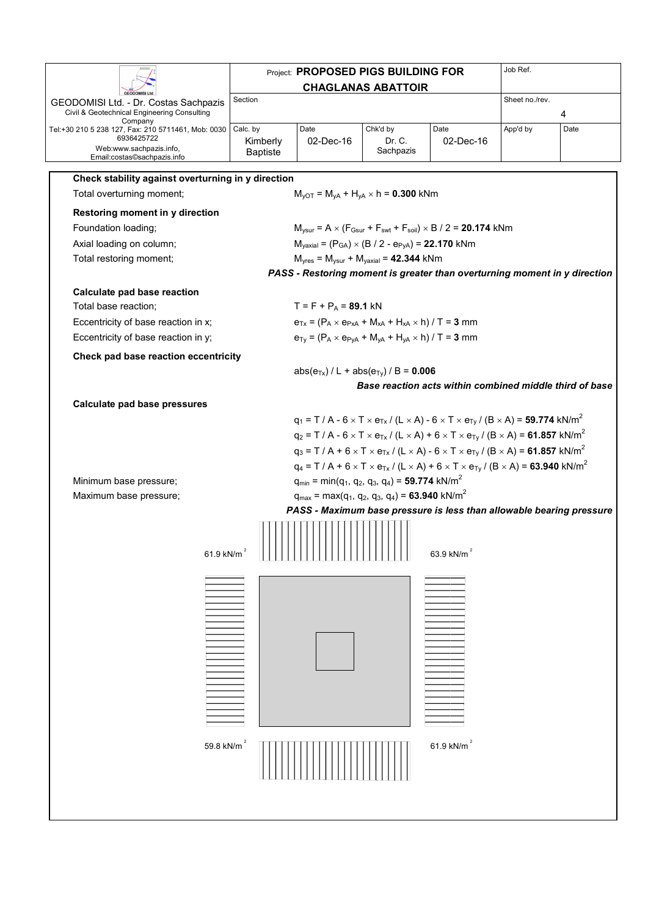|                                                                                      |                 |                         | <b>Project: PROPOSED PIGS BUILDING FOR</b>                                                                            |                                                                                                                              | Job Ref.       |      |
|--------------------------------------------------------------------------------------|-----------------|-------------------------|-----------------------------------------------------------------------------------------------------------------------|------------------------------------------------------------------------------------------------------------------------------|----------------|------|
|                                                                                      |                 |                         | <b>CHAGLANAS ABATTOIR</b>                                                                                             |                                                                                                                              |                |      |
| GEODOMISI Ltd. - Dr. Costas Sachpazis<br>Civil & Geotechnical Engineering Consulting | Section         |                         |                                                                                                                       |                                                                                                                              | Sheet no./rev. | 4    |
| Company<br>Tel:+30 210 5 238 127, Fax: 210 5711461, Mob: 0030                        | Calc. by        | Date                    | Chk'd by                                                                                                              | Date                                                                                                                         | App'd by       | Date |
| 6936425722<br>Web:www.sachpazis.info,                                                | Kimberly        | 02-Dec-16               | Dr. C.                                                                                                                | 02-Dec-16                                                                                                                    |                |      |
| Email:costas©sachpazis.info                                                          | <b>Baptiste</b> |                         | Sachpazis                                                                                                             |                                                                                                                              |                |      |
| Check stability against overturning in y direction                                   |                 |                         |                                                                                                                       |                                                                                                                              |                |      |
| Total overturning moment;                                                            |                 |                         | $M_{\text{vOT}} = M_{\text{vA}} + H_{\text{vA}} \times h = 0.300$ kNm                                                 |                                                                                                                              |                |      |
| Restoring moment in y direction                                                      |                 |                         |                                                                                                                       |                                                                                                                              |                |      |
| Foundation loading;                                                                  |                 |                         |                                                                                                                       | $M_{\text{ysur}} = A \times (F_{\text{Gsur}} + F_{\text{swt}} + F_{\text{soil}}) \times B / 2 = 20.174$ kNm                  |                |      |
| Axial loading on column;                                                             |                 |                         | $M_{\text{yaxial}} = (P_{GA}) \times (B / 2 - e_{PyA}) = 22.170$ kNm                                                  |                                                                                                                              |                |      |
| Total restoring moment;                                                              |                 |                         | $Myres = Mysur + Myaxial = 42.344 kNm$                                                                                |                                                                                                                              |                |      |
|                                                                                      |                 |                         |                                                                                                                       | PASS - Restoring moment is greater than overturning moment in y direction                                                    |                |      |
| Calculate pad base reaction                                                          |                 |                         |                                                                                                                       |                                                                                                                              |                |      |
| Total base reaction;                                                                 |                 | $T = F + P_A = 89.1$ kN |                                                                                                                       |                                                                                                                              |                |      |
| Eccentricity of base reaction in x;                                                  |                 |                         | $e_{Tx} = (P_A \times e_{PXA} + M_{XA} + H_{XA} \times h) / T = 3$ mm                                                 |                                                                                                                              |                |      |
| Eccentricity of base reaction in y;                                                  |                 |                         | $e_{Ty} = (P_A \times e_{PyA} + M_{YA} + H_{YA} \times h) / T = 3$ mm                                                 |                                                                                                                              |                |      |
| Check pad base reaction eccentricity                                                 |                 |                         |                                                                                                                       |                                                                                                                              |                |      |
|                                                                                      |                 |                         | $abs(e_{Tx})/L + abs(e_{Ty})/B = 0.006$                                                                               |                                                                                                                              |                |      |
|                                                                                      |                 |                         |                                                                                                                       | Base reaction acts within combined middle third of base                                                                      |                |      |
|                                                                                      |                 |                         |                                                                                                                       |                                                                                                                              |                |      |
| Calculate pad base pressures                                                         |                 |                         |                                                                                                                       |                                                                                                                              |                |      |
|                                                                                      |                 |                         |                                                                                                                       | $q_1 = T / A - 6 \times T \times e_{Tx} / (L \times A) - 6 \times T \times e_{Ty} / (B \times A) = 59.774 \text{ kN/m}^2$    |                |      |
|                                                                                      |                 |                         |                                                                                                                       | $q_2 = T/A - 6 \times T \times e_{Tx}/(L \times A) + 6 \times T \times e_{Ty}/(B \times A) = 61.857$ kN/m <sup>2</sup>       |                |      |
|                                                                                      |                 |                         |                                                                                                                       | $q_3 = T / A + 6 \times T \times e_{Tx} / (L \times A) - 6 \times T \times e_{Ty} / (B \times A) = 61.857$ kN/m <sup>2</sup> |                |      |
|                                                                                      |                 |                         |                                                                                                                       | $q_4 = T / A + 6 \times T \times e_{Tx} / (L \times A) + 6 \times T \times e_{Ty} / (B \times A) = 63.940 \text{ kN/m}^2$    |                |      |
| Minimum base pressure;                                                               |                 |                         | $q_{min} = min(q_1, q_2, q_3, q_4) =$ 59.774 kN/m <sup>2</sup>                                                        |                                                                                                                              |                |      |
| Maximum base pressure;                                                               |                 |                         | $q_{max}$ = max(q <sub>1</sub> , q <sub>2</sub> , q <sub>3</sub> , q <sub>4</sub> ) = <b>63.940</b> kN/m <sup>2</sup> |                                                                                                                              |                |      |
|                                                                                      |                 |                         |                                                                                                                       | PASS - Maximum base pressure is less than allowable bearing pressure                                                         |                |      |
| 61.9 kN/m                                                                            |                 |                         |                                                                                                                       | 63.9 kN/m                                                                                                                    |                |      |
|                                                                                      |                 |                         |                                                                                                                       |                                                                                                                              |                |      |
|                                                                                      |                 |                         |                                                                                                                       |                                                                                                                              |                |      |
|                                                                                      |                 |                         |                                                                                                                       |                                                                                                                              |                |      |
|                                                                                      |                 |                         |                                                                                                                       |                                                                                                                              |                |      |
|                                                                                      |                 |                         |                                                                                                                       |                                                                                                                              |                |      |
|                                                                                      |                 |                         |                                                                                                                       |                                                                                                                              |                |      |
|                                                                                      |                 |                         |                                                                                                                       |                                                                                                                              |                |      |
|                                                                                      |                 |                         |                                                                                                                       |                                                                                                                              |                |      |
|                                                                                      |                 |                         |                                                                                                                       |                                                                                                                              |                |      |
|                                                                                      |                 |                         |                                                                                                                       |                                                                                                                              |                |      |
|                                                                                      |                 |                         |                                                                                                                       |                                                                                                                              |                |      |
| 59.8 kN/m <sup>2</sup>                                                               |                 |                         |                                                                                                                       | 61.9 kN/m <sup>2</sup>                                                                                                       |                |      |
|                                                                                      |                 |                         |                                                                                                                       |                                                                                                                              |                |      |
|                                                                                      |                 |                         |                                                                                                                       |                                                                                                                              |                |      |
|                                                                                      |                 |                         |                                                                                                                       |                                                                                                                              |                |      |
|                                                                                      |                 |                         |                                                                                                                       |                                                                                                                              |                |      |
|                                                                                      |                 |                         |                                                                                                                       |                                                                                                                              |                |      |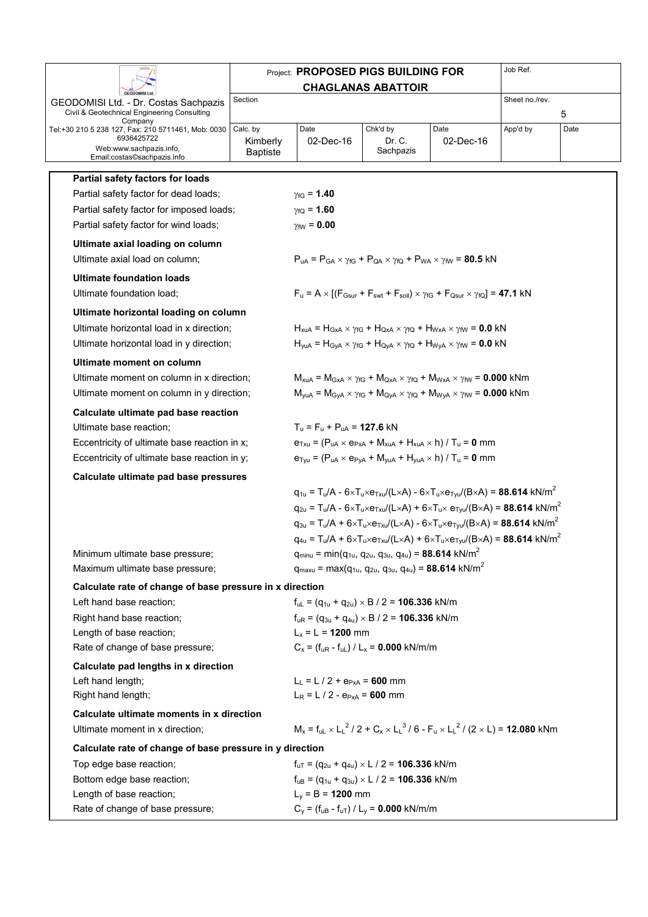|                                                                                      |                             | <b>Project: PROPOSED PIGS BUILDING FOR</b>                                               |                           |                                                                                                                                                                 | Job Ref.       |      |
|--------------------------------------------------------------------------------------|-----------------------------|------------------------------------------------------------------------------------------|---------------------------|-----------------------------------------------------------------------------------------------------------------------------------------------------------------|----------------|------|
|                                                                                      |                             |                                                                                          | <b>CHAGLANAS ABATTOIR</b> |                                                                                                                                                                 |                |      |
| GEODOMISI Ltd. - Dr. Costas Sachpazis<br>Civil & Geotechnical Engineering Consulting | Section                     |                                                                                          |                           |                                                                                                                                                                 | Sheet no./rev. | 5    |
| Company<br>Tel:+30 210 5 238 127, Fax: 210 5711461, Mob: 0030                        | Calc. by                    | Date                                                                                     | Chk'd by                  | Date                                                                                                                                                            | App'd by       | Date |
| 6936425722<br>Web:www.sachpazis.info,<br>Email:costas©sachpazis.info                 | Kimberly<br><b>Baptiste</b> | 02-Dec-16                                                                                | Dr. C.<br>Sachpazis       | 02-Dec-16                                                                                                                                                       |                |      |
| Partial safety factors for loads                                                     |                             |                                                                                          |                           |                                                                                                                                                                 |                |      |
| Partial safety factor for dead loads;                                                |                             | $y_{\text{fG}} = 1.40$                                                                   |                           |                                                                                                                                                                 |                |      |
| Partial safety factor for imposed loads;                                             |                             | $y_{fO} = 1.60$                                                                          |                           |                                                                                                                                                                 |                |      |
| Partial safety factor for wind loads;                                                |                             | $\gamma_{\text{fW}} = 0.00$                                                              |                           |                                                                                                                                                                 |                |      |
| Ultimate axial loading on column                                                     |                             |                                                                                          |                           |                                                                                                                                                                 |                |      |
| Ultimate axial load on column;                                                       |                             |                                                                                          |                           | $P_{\text{uA}} = P_{\text{GA}} \times \gamma_{\text{fG}} + P_{\text{QA}} \times \gamma_{\text{fQ}} + P_{\text{WA}} \times \gamma_{\text{fW}} = 80.5 \text{ kN}$ |                |      |
| <b>Ultimate foundation loads</b>                                                     |                             |                                                                                          |                           |                                                                                                                                                                 |                |      |
| Ultimate foundation load;                                                            |                             |                                                                                          |                           | $F_u = A \times [(F_{Gsur} + F_{swt} + F_{soil}) \times \gamma_{fG} + F_{Osur} \times \gamma_{fQ}] = 47.1$ kN                                                   |                |      |
| Ultimate horizontal loading on column                                                |                             |                                                                                          |                           |                                                                                                                                                                 |                |      |
| Ultimate horizontal load in x direction;                                             |                             |                                                                                          |                           | $H_{xuA} = H_{GxA} \times \gamma_{fG} + H_{QxA} \times \gamma_{fQ} + H_{WxA} \times \gamma_{fW} = 0.0$ kN                                                       |                |      |
| Ultimate horizontal load in y direction;                                             |                             |                                                                                          |                           | $H_{yuA} = H_{GyA} \times \gamma_{fG} + H_{QyA} \times \gamma_{fQ} + H_{WyA} \times \gamma_{fW} = 0.0$ kN                                                       |                |      |
| Ultimate moment on column                                                            |                             |                                                                                          |                           |                                                                                                                                                                 |                |      |
| Ultimate moment on column in x direction;                                            |                             |                                                                                          |                           | $M_{xuA}$ = $M_{GxA}$ $\times$ $\gamma_{fG}$ + $M_{QxA}$ $\times$ $\gamma_{fQ}$ + $M_{WxA}$ $\times$ $\gamma_{fW}$ = 0.000 kNm                                  |                |      |
| Ultimate moment on column in y direction;                                            |                             |                                                                                          |                           | $M_{\text{yuA}} = M_{\text{GyA}} \times \gamma_{\text{fG}} + M_{\text{QyA}} \times \gamma_{\text{fQ}} + M_{\text{WyA}} \times \gamma_{\text{fW}} = 0.000$ kNm   |                |      |
| Calculate ultimate pad base reaction                                                 |                             |                                                                                          |                           |                                                                                                                                                                 |                |      |
| Ultimate base reaction;                                                              |                             | $T_{\rm u}$ = F <sub>u</sub> + P <sub>uA</sub> = 127.6 kN                                |                           |                                                                                                                                                                 |                |      |
| Eccentricity of ultimate base reaction in x;                                         |                             |                                                                                          |                           | $e_{Txu} = (P_{uA} \times e_{PxA} + M_{xuA} + H_{xuA} \times h) / T_u = 0$ mm                                                                                   |                |      |
| Eccentricity of ultimate base reaction in y;                                         |                             |                                                                                          |                           | $e_{Tyu} = (P_{uA} \times e_{PyA} + M_{yuA} + H_{yuA} \times h) / T_u = 0$ mm                                                                                   |                |      |
| Calculate ultimate pad base pressures                                                |                             |                                                                                          |                           |                                                                                                                                                                 |                |      |
|                                                                                      |                             |                                                                                          |                           | $q_{1u} = T_u/A - 6 \times T_u \times e_{T_xu}/(L \times A) - 6 \times T_u \times e_{T_xu}/(B \times A) = 88.614 \text{ kN/m}^2$                                |                |      |
|                                                                                      |                             |                                                                                          |                           | $q_{2u} = T_u/A - 6 \times T_u \times e_{T_xu}/(L \times A) + 6 \times T_u \times e_{T_xu}/(B \times A) = 88.614 \text{ kN/m}^2$                                |                |      |
|                                                                                      |                             |                                                                                          |                           | $q_{3u} = T_u/A + 6 \times T_u \times e_{T_xu}/(L \times A) - 6 \times T_u \times e_{T_xu}/(B \times A) = 88.614 \text{ kN/m}^2$                                |                |      |
|                                                                                      |                             |                                                                                          |                           | $q_{4u} = T_u/A + 6 \times T_u \times e_{T_xu}/(L \times A) + 6 \times T_u \times e_{T_xu}/(B \times A) = 88.614 \text{ kN/m}^2$                                |                |      |
| Minimum ultimate base pressure;                                                      |                             | $q_{minu} = min(q_{1u}, q_{2u}, q_{3u}, q_{4u}) = 88.614$ kN/m <sup>2</sup>              |                           |                                                                                                                                                                 |                |      |
| Maximum ultimate base pressure;                                                      |                             | $q_{maxu}$ = max( $q_{1u}$ , $q_{2u}$ , $q_{3u}$ , $q_{4u}$ ) = 88.614 kN/m <sup>2</sup> |                           |                                                                                                                                                                 |                |      |
| Calculate rate of change of base pressure in x direction                             |                             |                                                                                          |                           |                                                                                                                                                                 |                |      |
| Left hand base reaction;                                                             |                             | $f_{\text{ul}} = (q_{1u} + q_{2u}) \times B / 2 = 106.336$ kN/m                          |                           |                                                                                                                                                                 |                |      |
| Right hand base reaction;                                                            |                             | $f_{uR} = (q_{3u} + q_{4u}) \times B / 2 = 106.336$ kN/m                                 |                           |                                                                                                                                                                 |                |      |
| Length of base reaction;                                                             |                             | $L_x = L = 1200$ mm                                                                      |                           |                                                                                                                                                                 |                |      |
| Rate of change of base pressure;                                                     |                             | $C_x = (f_{uR} - f_{uL}) / L_x = 0.000$ kN/m/m                                           |                           |                                                                                                                                                                 |                |      |
| Calculate pad lengths in x direction                                                 |                             |                                                                                          |                           |                                                                                                                                                                 |                |      |
| Left hand length;<br>Right hand length;                                              |                             | $L_1 = L / 2 + e_{PxA} = 600$ mm<br>$L_R = L / 2 - e_{PxA} = 600$ mm                     |                           |                                                                                                                                                                 |                |      |
| Calculate ultimate moments in x direction                                            |                             |                                                                                          |                           |                                                                                                                                                                 |                |      |
| Ultimate moment in x direction;                                                      |                             |                                                                                          |                           | $M_x = f_{ul} \times L_l^2 / 2 + C_x \times L_l^3 / 6 - F_u \times L_l^2 / (2 \times L) =$ 12.080 kNm                                                           |                |      |
| Calculate rate of change of base pressure in y direction                             |                             |                                                                                          |                           |                                                                                                                                                                 |                |      |
| Top edge base reaction;                                                              |                             | $f_{uT} = (q_{2u} + q_{4u}) \times L / 2 = 106.336$ kN/m                                 |                           |                                                                                                                                                                 |                |      |
| Bottom edge base reaction;                                                           |                             | $f_{uB} = (q_{1u} + q_{3u}) \times L / 2 = 106.336$ kN/m                                 |                           |                                                                                                                                                                 |                |      |
| Length of base reaction;                                                             |                             | $L_y = B = 1200$ mm                                                                      |                           |                                                                                                                                                                 |                |      |
| Rate of change of base pressure;                                                     |                             | $C_y = (f_{uB} - f_{uT}) / L_y = 0.000$ kN/m/m                                           |                           |                                                                                                                                                                 |                |      |
|                                                                                      |                             |                                                                                          |                           |                                                                                                                                                                 |                |      |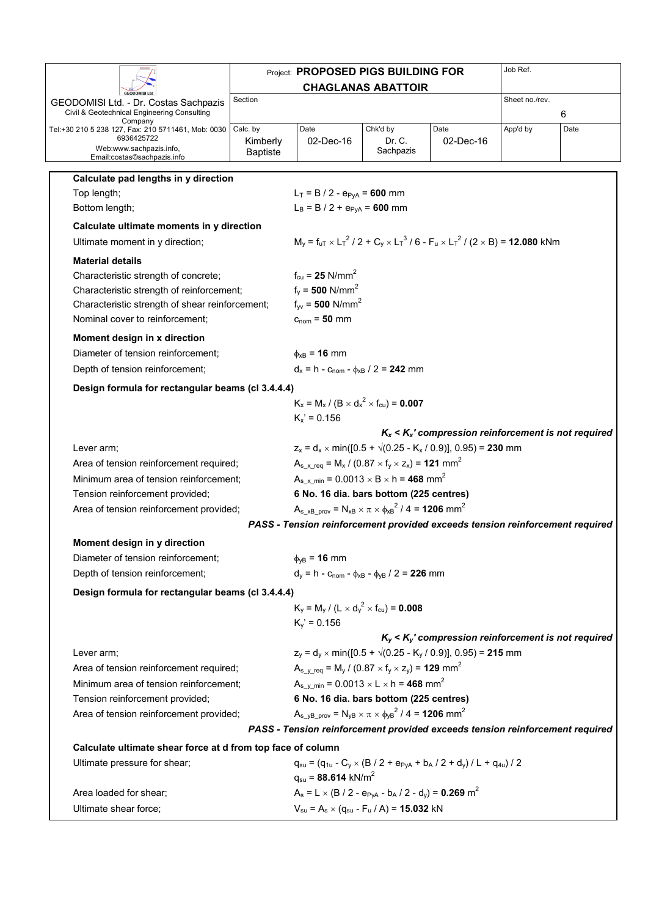|                                                                  |                             | <b>Project: PROPOSED PIGS BUILDING FOR</b>                                                                       |                           |                                                                                                       | Job Ref.       |      |
|------------------------------------------------------------------|-----------------------------|------------------------------------------------------------------------------------------------------------------|---------------------------|-------------------------------------------------------------------------------------------------------|----------------|------|
|                                                                  |                             |                                                                                                                  | <b>CHAGLANAS ABATTOIR</b> |                                                                                                       |                |      |
| GEODOMISI Ltd. - Dr. Costas Sachpazis                            | Section                     |                                                                                                                  |                           |                                                                                                       | Sheet no./rev. |      |
| Civil & Geotechnical Engineering Consulting<br>Company           |                             |                                                                                                                  |                           |                                                                                                       |                | 6    |
| Tel:+30 210 5 238 127, Fax: 210 5711461, Mob: 0030<br>6936425722 | Calc. by                    | Date                                                                                                             | Chk'd by<br>Dr. C.        | Date                                                                                                  | App'd by       | Date |
| Web:www.sachpazis.info,                                          | Kimberly<br><b>Baptiste</b> | 02-Dec-16                                                                                                        | Sachpazis                 | $02$ -Dec-16                                                                                          |                |      |
| Email:costas©sachpazis.info                                      |                             |                                                                                                                  |                           |                                                                                                       |                |      |
| Calculate pad lengths in y direction                             |                             |                                                                                                                  |                           |                                                                                                       |                |      |
| Top length;                                                      |                             | $L_T = B / 2 - e_{PVA} = 600$ mm                                                                                 |                           |                                                                                                       |                |      |
| Bottom length;                                                   |                             | $L_B = B / 2 + e_{PVA} = 600$ mm                                                                                 |                           |                                                                                                       |                |      |
| Calculate ultimate moments in y direction                        |                             |                                                                                                                  |                           |                                                                                                       |                |      |
| Ultimate moment in y direction;                                  |                             |                                                                                                                  |                           | $M_v = f_{uT} \times L_T^2 / 2 + C_v \times L_T^3 / 6 - F_u \times L_T^2 / (2 \times B) = 12.080$ kNm |                |      |
| <b>Material details</b>                                          |                             |                                                                                                                  |                           |                                                                                                       |                |      |
| Characteristic strength of concrete;                             |                             | $f_{\rm cu} = 25$ N/mm <sup>2</sup>                                                                              |                           |                                                                                                       |                |      |
| Characteristic strength of reinforcement;                        |                             | $f_v = 500$ N/mm <sup>2</sup>                                                                                    |                           |                                                                                                       |                |      |
| Characteristic strength of shear reinforcement;                  |                             | $f_{\text{vv}} = 500 \text{ N/mm}^2$                                                                             |                           |                                                                                                       |                |      |
| Nominal cover to reinforcement;                                  |                             | $cnom = 50 mm$                                                                                                   |                           |                                                                                                       |                |      |
| Moment design in x direction                                     |                             |                                                                                                                  |                           |                                                                                                       |                |      |
| Diameter of tension reinforcement;                               |                             | $\phi_{xB}$ = 16 mm                                                                                              |                           |                                                                                                       |                |      |
| Depth of tension reinforcement;                                  |                             | $d_x = h - c_{\text{nom}} - \phi_{xB} / 2 = 242$ mm                                                              |                           |                                                                                                       |                |      |
| Design formula for rectangular beams (cl 3.4.4.4)                |                             |                                                                                                                  |                           |                                                                                                       |                |      |
|                                                                  |                             | $K_x = M_x / (B \times d_x^2 \times f_{cu}) = 0.007$                                                             |                           |                                                                                                       |                |      |
|                                                                  |                             | $K_x' = 0.156$                                                                                                   |                           |                                                                                                       |                |      |
|                                                                  |                             |                                                                                                                  |                           | $K_x < K_x$ ' compression reinforcement is not required                                               |                |      |
| Lever arm;                                                       |                             |                                                                                                                  |                           | $z_x = d_x \times min([0.5 + \sqrt{(0.25 - K_x / 0.9)}], 0.95) = 230$ mm                              |                |      |
| Area of tension reinforcement required;                          |                             | $A_{s}$ x req = M <sub>x</sub> / (0.87 × f <sub>y</sub> × z <sub>x</sub> ) = <b>121</b> mm <sup>2</sup>          |                           |                                                                                                       |                |      |
| Minimum area of tension reinforcement;                           |                             | $A_{s}$ <sub>x</sub> min = 0.0013 $\times$ B $\times$ h = <b>468</b> mm <sup>2</sup>                             |                           |                                                                                                       |                |      |
| Tension reinforcement provided;                                  |                             | 6 No. 16 dia. bars bottom (225 centres)                                                                          |                           |                                                                                                       |                |      |
| Area of tension reinforcement provided;                          |                             | $A_{s xB prov} = N_{xB} \times \pi \times \phi_{xB}^2 / 4 = 1206$ mm <sup>2</sup>                                |                           |                                                                                                       |                |      |
|                                                                  |                             | PASS - Tension reinforcement provided exceeds tension reinforcement required                                     |                           |                                                                                                       |                |      |
| Moment design in y direction                                     |                             |                                                                                                                  |                           |                                                                                                       |                |      |
| Diameter of tension reinforcement;                               |                             | $\phi_{VB}$ = 16 mm                                                                                              |                           |                                                                                                       |                |      |
| Depth of tension reinforcement;                                  |                             | $d_y = h - c_{\text{nom}} - \phi_{xB} - \phi_{yB} / 2 = 226$ mm                                                  |                           |                                                                                                       |                |      |
| Design formula for rectangular beams (cl 3.4.4.4)                |                             |                                                                                                                  |                           |                                                                                                       |                |      |
|                                                                  |                             | $K_v = M_v / (L \times d_v^2 \times f_{cu}) = 0.008$                                                             |                           |                                                                                                       |                |      |
|                                                                  |                             | $K_v' = 0.156$                                                                                                   |                           |                                                                                                       |                |      |
|                                                                  |                             |                                                                                                                  |                           | $K_v$ < $K_v$ ' compression reinforcement is not required                                             |                |      |
| Lever arm;                                                       |                             |                                                                                                                  |                           | $z_v = d_v \times min([0.5 + \sqrt{(0.25 - K_v / 0.9)}], 0.95) = 215$ mm                              |                |      |
| Area of tension reinforcement required;                          |                             | $A_{s \ v \ \text{req}} = M_{y} / (0.87 \times f_{y} \times z_{y}) = 129 \text{ mm}^{2}$                         |                           |                                                                                                       |                |      |
| Minimum area of tension reinforcement:                           |                             | $A_{s_y_{min}} = 0.0013 \times L \times h = 468$ mm <sup>2</sup>                                                 |                           |                                                                                                       |                |      |
| Tension reinforcement provided;                                  |                             | 6 No. 16 dia. bars bottom (225 centres)                                                                          |                           |                                                                                                       |                |      |
| Area of tension reinforcement provided;                          |                             | $A_{s}$ <sub>yB</sub> <sub>prov</sub> = $N_{yB} \times \pi \times \phi_{yB}^2$ / 4 = <b>1206</b> mm <sup>2</sup> |                           |                                                                                                       |                |      |
|                                                                  |                             | PASS - Tension reinforcement provided exceeds tension reinforcement required                                     |                           |                                                                                                       |                |      |
| Calculate ultimate shear force at d from top face of column      |                             |                                                                                                                  |                           |                                                                                                       |                |      |
| Ultimate pressure for shear;                                     |                             |                                                                                                                  |                           | $q_{su} = (q_{1u} - C_y \times (B / 2 + e_{PyA} + b_A / 2 + d_v) / L + q_{4u}) / 2$                   |                |      |
|                                                                  |                             | $q_{su}$ = 88.614 kN/m <sup>2</sup>                                                                              |                           |                                                                                                       |                |      |
| Area loaded for shear;                                           |                             | $A_s = L \times (B / 2 - e_{PVA} - b_A / 2 - d_v) = 0.269$ m <sup>2</sup>                                        |                           |                                                                                                       |                |      |
| Ultimate shear force;                                            |                             | $V_{su} = A_s \times (q_{su} - F_u / A) = 15.032$ kN                                                             |                           |                                                                                                       |                |      |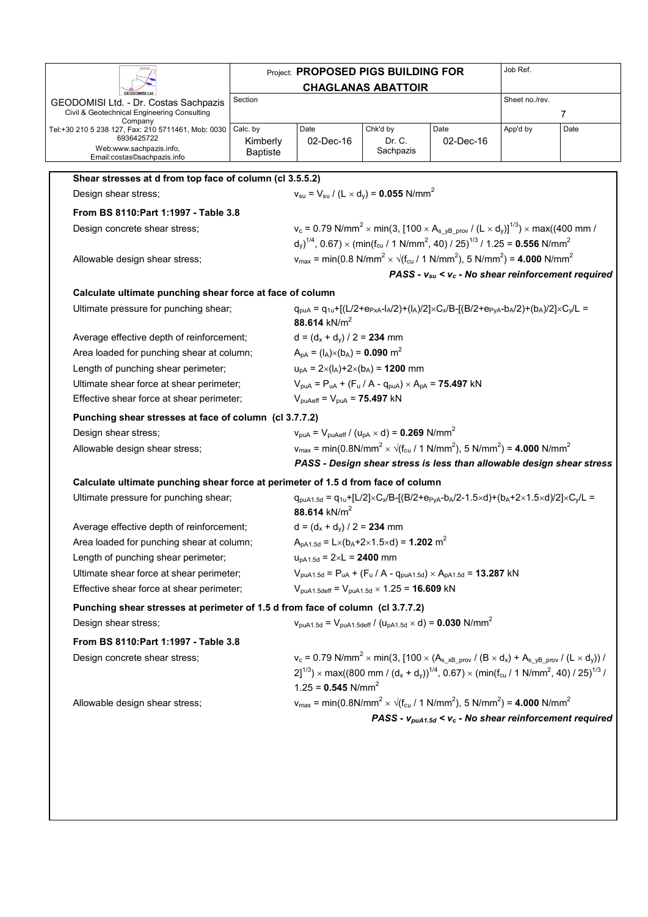| Date<br>02-Dec-16<br>Kimberly<br><b>Baptiste</b><br>Shear stresses at d from top face of column (cl 3.5.5.2)<br>Calculate ultimate punching shear force at face of column<br>88.614 kN/m <sup>2</sup><br>$A_{pA} = (I_A) \times (b_A) = 0.090$ m <sup>2</sup><br>$V_{\text{puAeff}} = V_{\text{puA}} = 75.497$ kN<br>Punching shear stresses at face of column (cl 3.7.7.2)<br>Calculate ultimate punching shear force at perimeter of 1.5 d from face of column | <b>CHAGLANAS ABATTOIR</b><br>Chk'd by<br>Dr. C.<br>Sachpazis<br>$v_{\rm su} = V_{\rm su} / (L \times d_{\rm v}) = 0.055$ N/mm <sup>2</sup><br>$v_c$ = 0.79 N/mm <sup>2</sup> × min(3, [100 × A <sub>s yB prov</sub> / (L × d <sub>v</sub> )] <sup>1/3</sup> ) × max((400 mm /<br>$\left(d_{v}\right)^{1/4}$ , 0.67) × (min(f <sub>cu</sub> / 1 N/mm <sup>2</sup> , 40) / 25) <sup>1/3</sup> / 1.25 = <b>0.556</b> N/mm <sup>2</sup><br>$v_{max}$ = min(0.8 N/mm <sup>2</sup> × $\sqrt{(f_{cu}/ 1 N/mm^2)}$ , 5 N/mm <sup>2</sup> ) = <b>4.000</b> N/mm <sup>2</sup><br>$q_{\text{pUA}} = q_{1u} + [(L/2 + e_{PxA} - I_A/2) + (I_A)/2] \times C_x/B - [(B/2 + e_{PVA} - I_A/2) + (I_A)/2] \times C_v/L =$<br>$d = (d_x + d_y) / 2 = 234$ mm<br>$u_{pA} = 2 \times (I_A) + 2 \times (b_A) = 1200$ mm<br>$V_{\text{pUA}} = P_{\text{uA}} + (F_{\text{u}} / A - q_{\text{pUA}}) \times A_{\text{pA}} =$ <b>75.497</b> kN<br>$V_{\text{pUA}} = V_{\text{pUAeff}} / (U_{\text{pA}} \times d) = 0.269 \text{ N/mm}^2$<br>$v_{\text{max}} = \text{min}(0.8 \text{N/mm}^2 \times \sqrt{(f_{\text{cu}} / 1 \text{N/mm}^2)}, 5 \text{N/mm}^2) = 4.000 \text{N/mm}^2$ | Date<br>02-Dec-16                                                       | Sheet no./rev.<br>App'd by                                                                                                                             | 7<br>Date<br>PASS - $v_{su}$ < $v_c$ - No shear reinforcement required                                                                                                                                                                                                                                                                                                                                                                                                                                                                                                                                                                                                                                                                                       |
|------------------------------------------------------------------------------------------------------------------------------------------------------------------------------------------------------------------------------------------------------------------------------------------------------------------------------------------------------------------------------------------------------------------------------------------------------------------|-----------------------------------------------------------------------------------------------------------------------------------------------------------------------------------------------------------------------------------------------------------------------------------------------------------------------------------------------------------------------------------------------------------------------------------------------------------------------------------------------------------------------------------------------------------------------------------------------------------------------------------------------------------------------------------------------------------------------------------------------------------------------------------------------------------------------------------------------------------------------------------------------------------------------------------------------------------------------------------------------------------------------------------------------------------------------------------------------------------------------------------------------------------|-------------------------------------------------------------------------|--------------------------------------------------------------------------------------------------------------------------------------------------------|--------------------------------------------------------------------------------------------------------------------------------------------------------------------------------------------------------------------------------------------------------------------------------------------------------------------------------------------------------------------------------------------------------------------------------------------------------------------------------------------------------------------------------------------------------------------------------------------------------------------------------------------------------------------------------------------------------------------------------------------------------------|
|                                                                                                                                                                                                                                                                                                                                                                                                                                                                  |                                                                                                                                                                                                                                                                                                                                                                                                                                                                                                                                                                                                                                                                                                                                                                                                                                                                                                                                                                                                                                                                                                                                                           |                                                                         |                                                                                                                                                        |                                                                                                                                                                                                                                                                                                                                                                                                                                                                                                                                                                                                                                                                                                                                                              |
|                                                                                                                                                                                                                                                                                                                                                                                                                                                                  |                                                                                                                                                                                                                                                                                                                                                                                                                                                                                                                                                                                                                                                                                                                                                                                                                                                                                                                                                                                                                                                                                                                                                           |                                                                         |                                                                                                                                                        |                                                                                                                                                                                                                                                                                                                                                                                                                                                                                                                                                                                                                                                                                                                                                              |
|                                                                                                                                                                                                                                                                                                                                                                                                                                                                  |                                                                                                                                                                                                                                                                                                                                                                                                                                                                                                                                                                                                                                                                                                                                                                                                                                                                                                                                                                                                                                                                                                                                                           |                                                                         |                                                                                                                                                        |                                                                                                                                                                                                                                                                                                                                                                                                                                                                                                                                                                                                                                                                                                                                                              |
|                                                                                                                                                                                                                                                                                                                                                                                                                                                                  |                                                                                                                                                                                                                                                                                                                                                                                                                                                                                                                                                                                                                                                                                                                                                                                                                                                                                                                                                                                                                                                                                                                                                           |                                                                         |                                                                                                                                                        |                                                                                                                                                                                                                                                                                                                                                                                                                                                                                                                                                                                                                                                                                                                                                              |
|                                                                                                                                                                                                                                                                                                                                                                                                                                                                  |                                                                                                                                                                                                                                                                                                                                                                                                                                                                                                                                                                                                                                                                                                                                                                                                                                                                                                                                                                                                                                                                                                                                                           |                                                                         |                                                                                                                                                        |                                                                                                                                                                                                                                                                                                                                                                                                                                                                                                                                                                                                                                                                                                                                                              |
|                                                                                                                                                                                                                                                                                                                                                                                                                                                                  |                                                                                                                                                                                                                                                                                                                                                                                                                                                                                                                                                                                                                                                                                                                                                                                                                                                                                                                                                                                                                                                                                                                                                           |                                                                         |                                                                                                                                                        |                                                                                                                                                                                                                                                                                                                                                                                                                                                                                                                                                                                                                                                                                                                                                              |
|                                                                                                                                                                                                                                                                                                                                                                                                                                                                  |                                                                                                                                                                                                                                                                                                                                                                                                                                                                                                                                                                                                                                                                                                                                                                                                                                                                                                                                                                                                                                                                                                                                                           |                                                                         |                                                                                                                                                        |                                                                                                                                                                                                                                                                                                                                                                                                                                                                                                                                                                                                                                                                                                                                                              |
|                                                                                                                                                                                                                                                                                                                                                                                                                                                                  |                                                                                                                                                                                                                                                                                                                                                                                                                                                                                                                                                                                                                                                                                                                                                                                                                                                                                                                                                                                                                                                                                                                                                           |                                                                         |                                                                                                                                                        |                                                                                                                                                                                                                                                                                                                                                                                                                                                                                                                                                                                                                                                                                                                                                              |
|                                                                                                                                                                                                                                                                                                                                                                                                                                                                  |                                                                                                                                                                                                                                                                                                                                                                                                                                                                                                                                                                                                                                                                                                                                                                                                                                                                                                                                                                                                                                                                                                                                                           |                                                                         |                                                                                                                                                        |                                                                                                                                                                                                                                                                                                                                                                                                                                                                                                                                                                                                                                                                                                                                                              |
|                                                                                                                                                                                                                                                                                                                                                                                                                                                                  |                                                                                                                                                                                                                                                                                                                                                                                                                                                                                                                                                                                                                                                                                                                                                                                                                                                                                                                                                                                                                                                                                                                                                           |                                                                         |                                                                                                                                                        |                                                                                                                                                                                                                                                                                                                                                                                                                                                                                                                                                                                                                                                                                                                                                              |
|                                                                                                                                                                                                                                                                                                                                                                                                                                                                  |                                                                                                                                                                                                                                                                                                                                                                                                                                                                                                                                                                                                                                                                                                                                                                                                                                                                                                                                                                                                                                                                                                                                                           |                                                                         |                                                                                                                                                        |                                                                                                                                                                                                                                                                                                                                                                                                                                                                                                                                                                                                                                                                                                                                                              |
|                                                                                                                                                                                                                                                                                                                                                                                                                                                                  |                                                                                                                                                                                                                                                                                                                                                                                                                                                                                                                                                                                                                                                                                                                                                                                                                                                                                                                                                                                                                                                                                                                                                           |                                                                         |                                                                                                                                                        |                                                                                                                                                                                                                                                                                                                                                                                                                                                                                                                                                                                                                                                                                                                                                              |
|                                                                                                                                                                                                                                                                                                                                                                                                                                                                  |                                                                                                                                                                                                                                                                                                                                                                                                                                                                                                                                                                                                                                                                                                                                                                                                                                                                                                                                                                                                                                                                                                                                                           |                                                                         |                                                                                                                                                        |                                                                                                                                                                                                                                                                                                                                                                                                                                                                                                                                                                                                                                                                                                                                                              |
|                                                                                                                                                                                                                                                                                                                                                                                                                                                                  |                                                                                                                                                                                                                                                                                                                                                                                                                                                                                                                                                                                                                                                                                                                                                                                                                                                                                                                                                                                                                                                                                                                                                           |                                                                         |                                                                                                                                                        |                                                                                                                                                                                                                                                                                                                                                                                                                                                                                                                                                                                                                                                                                                                                                              |
|                                                                                                                                                                                                                                                                                                                                                                                                                                                                  |                                                                                                                                                                                                                                                                                                                                                                                                                                                                                                                                                                                                                                                                                                                                                                                                                                                                                                                                                                                                                                                                                                                                                           |                                                                         |                                                                                                                                                        |                                                                                                                                                                                                                                                                                                                                                                                                                                                                                                                                                                                                                                                                                                                                                              |
|                                                                                                                                                                                                                                                                                                                                                                                                                                                                  |                                                                                                                                                                                                                                                                                                                                                                                                                                                                                                                                                                                                                                                                                                                                                                                                                                                                                                                                                                                                                                                                                                                                                           |                                                                         |                                                                                                                                                        |                                                                                                                                                                                                                                                                                                                                                                                                                                                                                                                                                                                                                                                                                                                                                              |
|                                                                                                                                                                                                                                                                                                                                                                                                                                                                  |                                                                                                                                                                                                                                                                                                                                                                                                                                                                                                                                                                                                                                                                                                                                                                                                                                                                                                                                                                                                                                                                                                                                                           |                                                                         |                                                                                                                                                        |                                                                                                                                                                                                                                                                                                                                                                                                                                                                                                                                                                                                                                                                                                                                                              |
|                                                                                                                                                                                                                                                                                                                                                                                                                                                                  |                                                                                                                                                                                                                                                                                                                                                                                                                                                                                                                                                                                                                                                                                                                                                                                                                                                                                                                                                                                                                                                                                                                                                           |                                                                         |                                                                                                                                                        |                                                                                                                                                                                                                                                                                                                                                                                                                                                                                                                                                                                                                                                                                                                                                              |
|                                                                                                                                                                                                                                                                                                                                                                                                                                                                  |                                                                                                                                                                                                                                                                                                                                                                                                                                                                                                                                                                                                                                                                                                                                                                                                                                                                                                                                                                                                                                                                                                                                                           |                                                                         |                                                                                                                                                        |                                                                                                                                                                                                                                                                                                                                                                                                                                                                                                                                                                                                                                                                                                                                                              |
|                                                                                                                                                                                                                                                                                                                                                                                                                                                                  |                                                                                                                                                                                                                                                                                                                                                                                                                                                                                                                                                                                                                                                                                                                                                                                                                                                                                                                                                                                                                                                                                                                                                           |                                                                         |                                                                                                                                                        |                                                                                                                                                                                                                                                                                                                                                                                                                                                                                                                                                                                                                                                                                                                                                              |
|                                                                                                                                                                                                                                                                                                                                                                                                                                                                  |                                                                                                                                                                                                                                                                                                                                                                                                                                                                                                                                                                                                                                                                                                                                                                                                                                                                                                                                                                                                                                                                                                                                                           |                                                                         |                                                                                                                                                        | PASS - Design shear stress is less than allowable design shear stress                                                                                                                                                                                                                                                                                                                                                                                                                                                                                                                                                                                                                                                                                        |
|                                                                                                                                                                                                                                                                                                                                                                                                                                                                  |                                                                                                                                                                                                                                                                                                                                                                                                                                                                                                                                                                                                                                                                                                                                                                                                                                                                                                                                                                                                                                                                                                                                                           |                                                                         |                                                                                                                                                        |                                                                                                                                                                                                                                                                                                                                                                                                                                                                                                                                                                                                                                                                                                                                                              |
| 88.614 $kN/m^2$                                                                                                                                                                                                                                                                                                                                                                                                                                                  | $q_{p u A1.5d} = q_{1u} + [L/2] \times C_x / B - [(B/2 + e_{PvA} - b_A/2 - 1.5 \times d) + (b_A + 2 \times 1.5 \times d)/2] \times C_v / L =$                                                                                                                                                                                                                                                                                                                                                                                                                                                                                                                                                                                                                                                                                                                                                                                                                                                                                                                                                                                                             |                                                                         |                                                                                                                                                        |                                                                                                                                                                                                                                                                                                                                                                                                                                                                                                                                                                                                                                                                                                                                                              |
|                                                                                                                                                                                                                                                                                                                                                                                                                                                                  | $d = (d_x + d_y) / 2 = 234$ mm                                                                                                                                                                                                                                                                                                                                                                                                                                                                                                                                                                                                                                                                                                                                                                                                                                                                                                                                                                                                                                                                                                                            |                                                                         |                                                                                                                                                        |                                                                                                                                                                                                                                                                                                                                                                                                                                                                                                                                                                                                                                                                                                                                                              |
|                                                                                                                                                                                                                                                                                                                                                                                                                                                                  | $A_{pA1.5d} = L \times (b_A + 2 \times 1.5 \times d) = 1.202$ m <sup>2</sup>                                                                                                                                                                                                                                                                                                                                                                                                                                                                                                                                                                                                                                                                                                                                                                                                                                                                                                                                                                                                                                                                              |                                                                         |                                                                                                                                                        |                                                                                                                                                                                                                                                                                                                                                                                                                                                                                                                                                                                                                                                                                                                                                              |
|                                                                                                                                                                                                                                                                                                                                                                                                                                                                  |                                                                                                                                                                                                                                                                                                                                                                                                                                                                                                                                                                                                                                                                                                                                                                                                                                                                                                                                                                                                                                                                                                                                                           |                                                                         |                                                                                                                                                        |                                                                                                                                                                                                                                                                                                                                                                                                                                                                                                                                                                                                                                                                                                                                                              |
|                                                                                                                                                                                                                                                                                                                                                                                                                                                                  |                                                                                                                                                                                                                                                                                                                                                                                                                                                                                                                                                                                                                                                                                                                                                                                                                                                                                                                                                                                                                                                                                                                                                           |                                                                         |                                                                                                                                                        |                                                                                                                                                                                                                                                                                                                                                                                                                                                                                                                                                                                                                                                                                                                                                              |
|                                                                                                                                                                                                                                                                                                                                                                                                                                                                  |                                                                                                                                                                                                                                                                                                                                                                                                                                                                                                                                                                                                                                                                                                                                                                                                                                                                                                                                                                                                                                                                                                                                                           |                                                                         |                                                                                                                                                        |                                                                                                                                                                                                                                                                                                                                                                                                                                                                                                                                                                                                                                                                                                                                                              |
|                                                                                                                                                                                                                                                                                                                                                                                                                                                                  |                                                                                                                                                                                                                                                                                                                                                                                                                                                                                                                                                                                                                                                                                                                                                                                                                                                                                                                                                                                                                                                                                                                                                           |                                                                         |                                                                                                                                                        |                                                                                                                                                                                                                                                                                                                                                                                                                                                                                                                                                                                                                                                                                                                                                              |
|                                                                                                                                                                                                                                                                                                                                                                                                                                                                  |                                                                                                                                                                                                                                                                                                                                                                                                                                                                                                                                                                                                                                                                                                                                                                                                                                                                                                                                                                                                                                                                                                                                                           |                                                                         |                                                                                                                                                        |                                                                                                                                                                                                                                                                                                                                                                                                                                                                                                                                                                                                                                                                                                                                                              |
|                                                                                                                                                                                                                                                                                                                                                                                                                                                                  |                                                                                                                                                                                                                                                                                                                                                                                                                                                                                                                                                                                                                                                                                                                                                                                                                                                                                                                                                                                                                                                                                                                                                           |                                                                         |                                                                                                                                                        |                                                                                                                                                                                                                                                                                                                                                                                                                                                                                                                                                                                                                                                                                                                                                              |
|                                                                                                                                                                                                                                                                                                                                                                                                                                                                  |                                                                                                                                                                                                                                                                                                                                                                                                                                                                                                                                                                                                                                                                                                                                                                                                                                                                                                                                                                                                                                                                                                                                                           |                                                                         |                                                                                                                                                        |                                                                                                                                                                                                                                                                                                                                                                                                                                                                                                                                                                                                                                                                                                                                                              |
|                                                                                                                                                                                                                                                                                                                                                                                                                                                                  |                                                                                                                                                                                                                                                                                                                                                                                                                                                                                                                                                                                                                                                                                                                                                                                                                                                                                                                                                                                                                                                                                                                                                           |                                                                         |                                                                                                                                                        |                                                                                                                                                                                                                                                                                                                                                                                                                                                                                                                                                                                                                                                                                                                                                              |
|                                                                                                                                                                                                                                                                                                                                                                                                                                                                  |                                                                                                                                                                                                                                                                                                                                                                                                                                                                                                                                                                                                                                                                                                                                                                                                                                                                                                                                                                                                                                                                                                                                                           |                                                                         |                                                                                                                                                        |                                                                                                                                                                                                                                                                                                                                                                                                                                                                                                                                                                                                                                                                                                                                                              |
|                                                                                                                                                                                                                                                                                                                                                                                                                                                                  |                                                                                                                                                                                                                                                                                                                                                                                                                                                                                                                                                                                                                                                                                                                                                                                                                                                                                                                                                                                                                                                                                                                                                           | $u_{pA1.5d} = 2 \times L = 2400$ mm<br>$1.25 = 0.545$ N/mm <sup>2</sup> | $V_{\text{puA1.5deff}} = V_{\text{puA1.5d}} \times 1.25 = 16.609$ kN<br>Punching shear stresses at perimeter of 1.5 d from face of column (cl 3.7.7.2) | $V_{p u A1.5d} = P_{uA} + (F_u / A - q_{p u A1.5d}) \times A_{pA1.5d} = 13.287$ kN<br>$V_{\text{puA1.5d}} = V_{\text{puA1.5deff}} / (U_{\text{pA1.5d}} \times d) = 0.030 \text{ N/mm}^2$<br>$v_c$ = 0.79 N/mm <sup>2</sup> $\times$ min(3, [100 $\times$ (A <sub>s xB_prov</sub> / (B $\times$ d <sub>x</sub> ) + A <sub>s_yB_prov</sub> / (L $\times$ d <sub>y</sub> )) /<br>$2]^{1/3}$ ) × max((800 mm / (d <sub>x</sub> + d <sub>v</sub> )) <sup>1/4</sup> , 0.67) × (min(f <sub>cu</sub> / 1 N/mm <sup>2</sup> , 40) / 25) <sup>1/3</sup> /<br>$v_{\text{max}} = \text{min}(0.8 \text{N/mm}^2 \times \sqrt{(f_{\text{cu}}/1 \text{N/mm}^2)}, 5 \text{N/mm}^2) = 4.000 \text{N/mm}^2$<br>PASS - $v_{p u A1.5d}$ < $v_c$ - No shear reinforcement required |